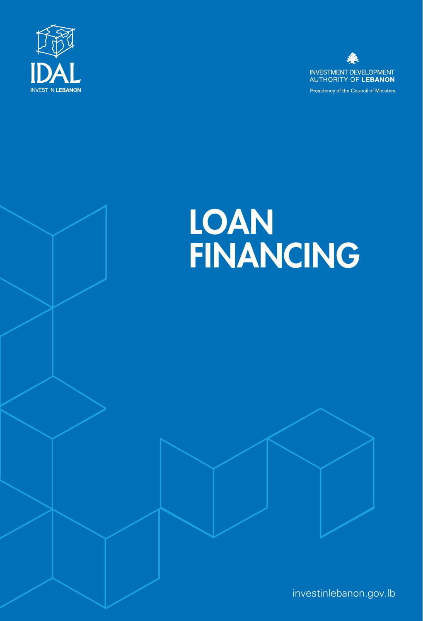



# LOAN<br>FINANCING



investinlebanon.gov.lb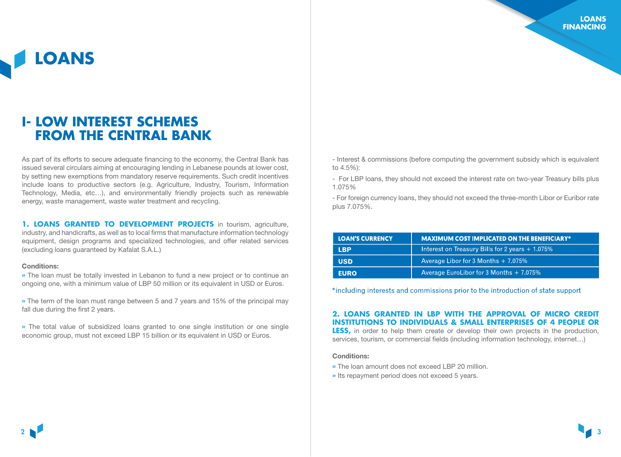**LOANS**

## **I- LOW INTEREST SCHEMES FROM THE CENTRAL BANK**

As part of its efforts to secure adequate financing to the economy, the Central Bank has issued several circulars aiming at encouraging lending in Lebanese pounds at lower cost, by setting new exemptions from mandatory reserve requirements. Such credit incentives include loans to productive sectors (e.g. Agriculture, Industry, Tourism, Information Technology, Media, etc…), and environmentally friendly projects such as renewable energy, waste management, waste water treatment and recycling.

**1. LOANS GRANTED TO DEVELOPMENT PROJECTS** in tourism, agriculture, industry, and handicrafts, as well as to local firms that manufacture information technology equipment, design programs and specialized technologies, and offer related services (excluding loans guaranteed by Kafalat S.A.L.)

#### Conditions:

» The loan must be totally invested in Lebanon to fund a new project or to continue an ongoing one, with a minimum value of LBP 50 million or its equivalent in USD or Euros.

» The term of the loan must range between 5 and 7 years and 15% of the principal may fall due during the first 2 years.

» The total value of subsidized loans granted to one single institution or one single economic group, must not exceed LBP 15 billion or its equivalent in USD or Euros.

- Interest & commissions (before computing the government subsidy which is equivalent to 4.5%):

- For LBP loans, they should not exceed the interest rate on two-year Treasury bills plus 1.075%

- For foreign currency loans, they should not exceed the three-month Libor or Euribor rate plus 7.075%.

| <b>LOAN'S CURRENCY</b> | <b>MAXIMUM COST IMPLICATED ON THE BENEFICIARY*</b> |
|------------------------|----------------------------------------------------|
| <b>LBP</b>             | Interest on Treasury Bills for 2 years $+ 1.075\%$ |
| <b>USD</b>             | Average Libor for 3 Months $+ 7.075\%$             |
| <b>EURO</b>            | Average EuroLibor for 3 Months $+$ 7.075%          |

\*including interests and commissions prior to the introduction of state support

#### **2. LOANS GRANTED IN LBP WITH THE APPROVAL OF MICRO CREDIT INSTITUTIONS TO INDIVIDUALS & SMALL ENTERPRISES OF 4 PEOPLE OR**

**LESS,** in order to help them create or develop their own projects in the production, services, tourism, or commercial fields (including information technology, internet…)

#### Conditions:

- » The loan amount does not exceed LBP 20 million.
- » Its repayment period does not exceed 5 years.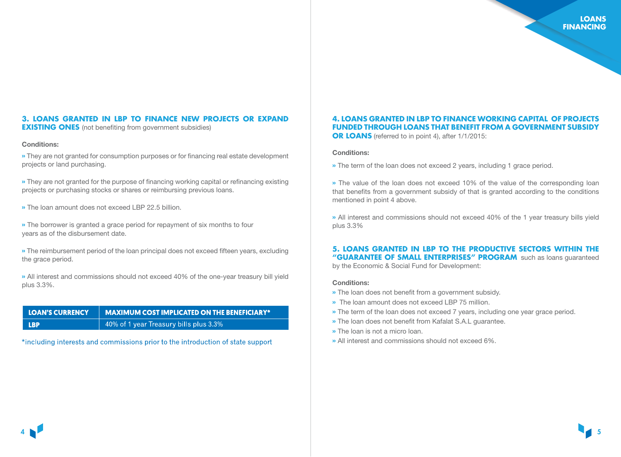#### **3. LOANS GRANTED IN LBP TO FINANCE NEW PROJECTS OR EXPAND EXISTING ONES** (not benefiting from government subsidies)

#### Conditions:

» They are not granted for consumption purposes or for financing real estate development projects or land purchasing.

» They are not granted for the purpose of financing working capital or refinancing existing projects or purchasing stocks or shares or reimbursing previous loans.

» The loan amount does not exceed LBP 22.5 billion.

» The borrower is granted a grace period for repayment of six months to four years as of the disbursement date.

» The reimbursement period of the loan principal does not exceed fifteen years, excluding the grace period.

» All interest and commissions should not exceed 40% of the one-year treasury bill yield plus 3.3%.

| <b>LOAN'S CURRENCY</b> | $\vert$ MAXIMUM COST IMPLICATED ON THE BENEFICIARY* |
|------------------------|-----------------------------------------------------|
| <b>LBP</b>             | 40% of 1 year Treasury bills plus 3.3%              |

\*including interests and commissions prior to the introduction of state support

#### **4. LOANS GRANTED IN LBP TO FINANCE WORKING CAPITAL OF PROJECTS FUNDED THROUGH LOANS THAT BENEFIT FROM A GOVERNMENT SUBSIDY OR LOANS** (referred to in point 4), after 1/1/2015:

#### Conditions:

» The term of the loan does not exceed 2 years, including 1 grace period.

» The value of the loan does not exceed 10% of the value of the corresponding loan that benefits from a government subsidy of that is granted according to the conditions mentioned in point 4 above.

» All interest and commissions should not exceed 40% of the 1 year treasury bills yield plus 3.3%

#### **5. LOANS GRANTED IN LBP TO THE PRODUCTIVE SECTORS WITHIN THE "GUARANTEE OF SMALL ENTERPRISES" PROGRAM**, such as loans guaranteed

by the Economic & Social Fund for Development:

#### Conditions:

- » The loan does not benefit from a government subsidy.
- » The loan amount does not exceed LBP 75 million.
- » The term of the loan does not exceed 7 years, including one year grace period.
- » The loan does not benefit from Kafalat S.A.L guarantee.
- » The loan is not a micro loan.
- » All interest and commissions should not exceed 6%.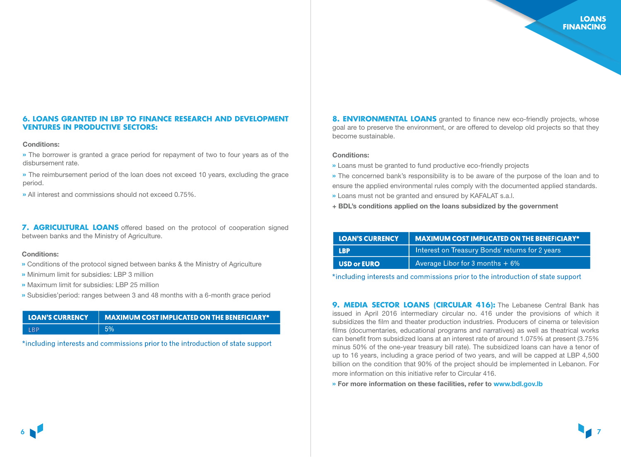#### **6. LOANS GRANTED IN LBP TO FINANCE RESEARCH AND DEVELOPMENT VENTURES IN PRODUCTIVE SECTORS:**

#### Conditions:

» The borrower is granted a grace period for repayment of two to four years as of the disbursement rate.

» The reimbursement period of the loan does not exceed 10 years, excluding the grace period.

» All interest and commissions should not exceed 0.75%.

**7. AGRICULTURAL LOANS** offered based on the protocol of cooperation signed between banks and the Ministry of Agriculture.

#### Conditions:

- » Conditions of the protocol signed between banks & the Ministry of Agriculture
- » Minimum limit for subsidies: LBP 3 million
- » Maximum limit for subsidies: LBP 25 million
- » Subsidies'period: ranges between 3 and 48 months with a 6-month grace period

| <b>LOAN'S CURRENCY</b> | $\parallel$ MAXIMUM COST IMPLICATED ON THE BENEFICIARY* |
|------------------------|---------------------------------------------------------|
| I RP                   | 5%                                                      |

\*including interests and commissions prior to the introduction of state support

**8. ENVIRONMENTAL LOANS** granted to finance new eco-friendly projects, whose goal are to preserve the environment, or are offered to develop old projects so that they become sustainable.

#### Conditions:

- » Loans must be granted to fund productive eco-friendly projects
- » The concerned bank's responsibility is to be aware of the purpose of the loan and to ensure the applied environmental rules comply with the documented applied standards.
- » Loans must not be granted and ensured by KAFALAT s.a.l.
- + BDL's conditions applied on the loans subsidized by the government

| <b>LOAN'S CURRENCY</b> | <b>MAXIMUM COST IMPLICATED ON THE BENEFICIARY*</b> |
|------------------------|----------------------------------------------------|
| <b>LBP</b>             | Interest on Treasury Bonds' returns for 2 years    |
| USD or EURO            | Average Libor for 3 months $+6\%$                  |

\*including interests and commissions prior to the introduction of state support

**9. MEDIA SECTOR LOANS (CIRCULAR 416):** The Lebanese Central Bank has issued in April 2016 intermediary circular no. 416 under the provisions of which it subsidizes the film and theater production industries. Producers of cinema or television films (documentaries, educational programs and narratives) as well as theatrical works can benefit from subsidized loans at an interest rate of around 1.075% at present (3.75% minus 50% of the one-year treasury bill rate). The subsidized loans can have a tenor of up to 16 years, including a grace period of two years, and will be capped at LBP 4,500 billion on the condition that 90% of the project should be implemented in Lebanon. For more information on this initiative refer to Circular 416.

» For more information on these facilities, refer to<www.bdl.gov.lb>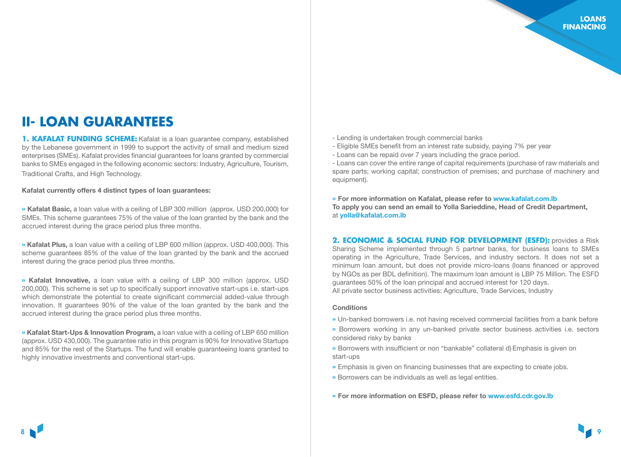## **II- LOAN GUARANTEES**

**1. KAFALAT FUNDING SCHEME:** Kafalat is a loan quarantee company, established by the Lebanese government in 1999 to support the activity of small and medium sized enterprises (SMEs). Kafalat provides financial guarantees for loans granted by commercial banks to SMEs engaged in the following economic sectors: Industry, Agriculture, Tourism, Traditional Crafts, and High Technology.

Kafalat currently offers 4 distinct types of loan guarantees:

» Kafalat Basic, a loan value with a ceiling of LBP 300 million (approx. USD 200,000) for SMEs. This scheme guarantees 75% of the value of the loan granted by the bank and the accrued interest during the grace period plus three months.

» Kafalat Plus, a loan value with a ceiling of LBP 600 million (approx. USD 400,000). This scheme guarantees 85% of the value of the loan granted by the bank and the accrued interest during the grace period plus three months.

» Kafalat Innovative, a loan value with a ceiling of LBP 300 million (approx. USD 200,000). This scheme is set up to specifically support innovative start-ups i.e. start-ups which demonstrate the potential to create significant commercial added-value through innovation. It guarantees 90% of the value of the loan granted by the bank and the accrued interest during the grace period plus three months.

» Kafalat Start-Ups & Innovation Program, a loan value with a ceiling of LBP 650 million (approx. USD 430,000). The guarantee ratio in this program is 90% for Innovative Startups and 85% for the rest of the Startups. The fund will enable guaranteeing loans granted to highly innovative investments and conventional start-ups.

- Lending is undertaken trough commercial banks
- Eligible SMEs benefit from an interest rate subsidy, paying 7% per year
- Loans can be repaid over 7 years including the grace period.

- Loans can cover the entire range of capital requirements (purchase of raw materials and spare parts; working capital; construction of premises; and purchase of machinery and equipment).

» For more information on Kafalat, please refer to www.kafalat.com.lb To apply you can send an email to Yolla Sarieddine, Head of Credit Department, at [yolla@kafalat.com.lb](mailto:yolla%40kafalat.com.lb?subject=)

**2. ECONOMIC & SOCIAL FUND FOR DEVELOPMENT (ESFD):** provides a Risk [Sharing Scheme implemented through 5 partner banks, for business loans to SMEs](www.kafalat.com.lb)  operating in the Agriculture, Trade Services, and industry sectors. It does not set a minimum loan amount, but does not provide micro-loans (loans financed or approved by NGOs as per BDL definition). The maximum loan amount is LBP 75 Million. The ESFD guarantees 50% of the loan principal and accrued interest for 120 days. All private sector business activities: Agriculture, Trade Services, Industry

#### **Conditions**

- » Un-banked borrowers i.e. not having received commercial facilities from a bank before
- » Borrowers working in any un-banked private sector business activities i.e. sectors considered risky by banks
- » Borrowers with insufficient or non "bankable" collateral d) Emphasis is given on start-ups
- » Emphasis is given on financing businesses that are expecting to create jobs.
- » Borrowers can be individuals as well as legal entities.
- » For more information on ESFD, please refer to <www.esfd.cdr.gov.lb>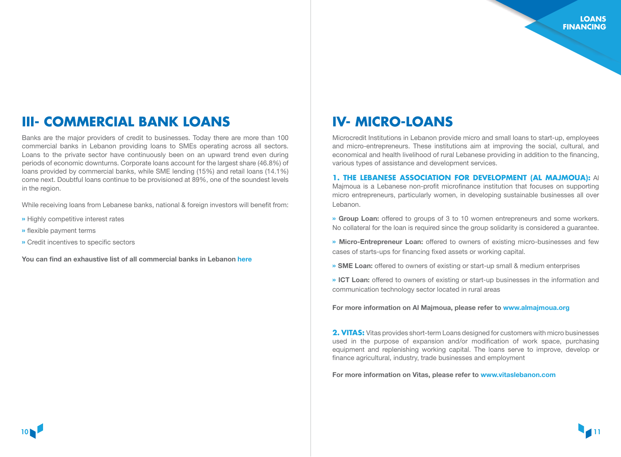## **III- COMMERCIAL BANK LOANS IV- MICRO-LOANS**

Banks are the major providers of credit to businesses. Today there are more than 100 commercial banks in Lebanon providing loans to SMEs operating across all sectors. Loans to the private sector have continuously been on an upward trend even during periods of economic downturns. Corporate loans account for the largest share (46.8%) of loans provided by commercial banks, while SME lending (15%) and retail loans (14.1%) come next. Doubtful loans continue to be provisioned at 89%, one of the soundest levels in the region.

While receiving loans from Lebanese banks, national & foreign investors will benefit from:

- » Highly competitive interest rates
- » flexible payment terms
- » Credit incentives to specific sectors

You can find an exhaustive list of all commercial banks in Lebanon [here](http://www.abl.org.lb/allclassification.aspx%3Fpageid%3D129)

Microcredit Institutions in Lebanon provide micro and small loans to start-up, employees and micro-entrepreneurs. These institutions aim at improving the social, cultural, and economical and health livelihood of rural Lebanese providing in addition to the financing, various types of assistance and development services.

#### **1. THE LEBANESE ASSOCIATION FOR DEVELOPMENT (AL MAJMOUA):** Al

Majmoua is a Lebanese non-profit microfinance institution that focuses on supporting micro entrepreneurs, particularly women, in developing sustainable businesses all over Lebanon.

- » Group Loan: offered to groups of 3 to 10 women entrepreneurs and some workers. No collateral for the loan is required since the group solidarity is considered a guarantee.
- » Micro-Entrepreneur Loan: offered to owners of existing micro-businesses and few cases of starts-ups for financing fixed assets or working capital.
- » SME Loan: offered to owners of existing or start-up small & medium enterprises
- » ICT Loan: offered to owners of existing or start-up businesses in the information and communication technology sector located in rural areas

For more information on Al Majmoua, please refer to <www.almajmoua.org>

**2. VITAS:** Vitas provides short-term Loans designed for customers with micro businesses used in the purpose of expansion and/or modification of work space, purchasing equipment and replenishing working capital. The loans serve to improve, develop or finance agricultural, industry, trade businesses and employment

For more information on Vitas, please refer to www[.vitaslebanon.com](vitaslebanon.com)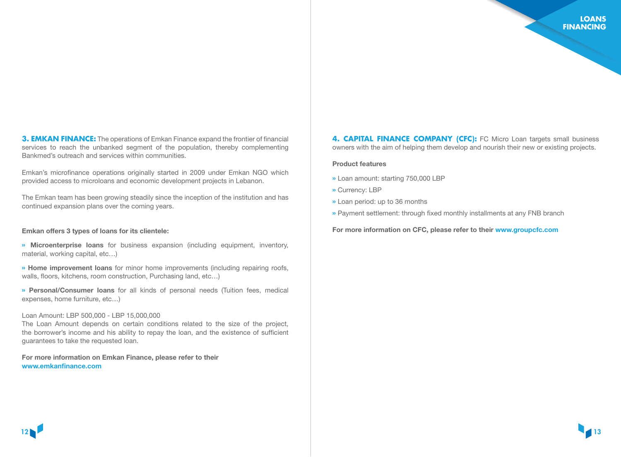**3. EMKAN FINANCE:** The operations of Emkan Finance expand the frontier of financial services to reach the unbanked segment of the population, thereby complementing Bankmed's outreach and services within communities.

Emkan's microfinance operations originally started in 2009 under Emkan NGO which provided access to microloans and economic development projects in Lebanon.

The Emkan team has been growing steadily since the inception of the institution and has continued expansion plans over the coming years.

#### Emkan offers 3 types of loans for its clientele:

» Microenterprise loans for business expansion (including equipment, inventory, material, working capital, etc…)

» Home improvement loans for minor home improvements (including repairing roofs, walls, floors, kitchens, room construction, Purchasing land, etc…)

» Personal/Consumer loans for all kinds of personal needs (Tuition fees, medical expenses, home furniture, etc…)

#### Loan Amount: LBP 500,000 - LBP 15,000,000

The Loan Amount depends on certain conditions related to the size of the project, the borrower's income and his ability to repay the loan, and the existence of sufficient guarantees to take the requested loan.

For more information on Emkan Finance, please refer to their <www.emkanfinance.com>

**4. CAPITAL FINANCE COMPANY (CFC):** FC Micro Loan targets small business owners with the aim of helping them develop and nourish their new or existing projects.

#### Product features

- » Loan amount: starting 750,000 LBP
- » Currency: LBP
- » Loan period: up to 36 months
- » Payment settlement: through fixed monthly installments at any FNB branch

For more information on CFC, please refer to their [www.groupcfc.com](https://www.groupcfc.com/loan/Micro-Loan)